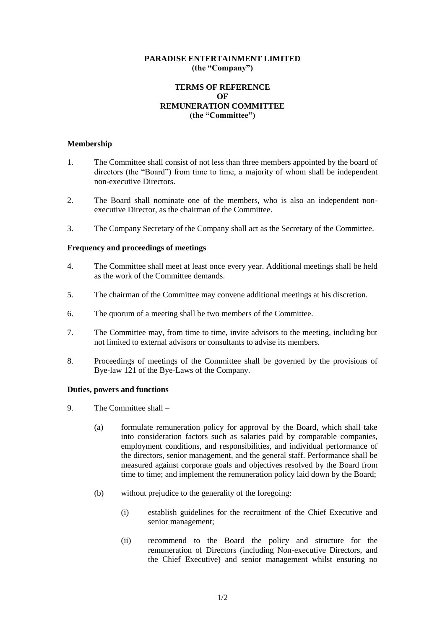## **PARADISE ENTERTAINMENT LIMITED (the "Company")**

# **TERMS OF REFERENCE OF REMUNERATION COMMITTEE (the "Committee")**

## **Membership**

- 1. The Committee shall consist of not less than three members appointed by the board of directors (the "Board") from time to time, a majority of whom shall be independent non-executive Directors.
- 2. The Board shall nominate one of the members, who is also an independent nonexecutive Director, as the chairman of the Committee.
- 3. The Company Secretary of the Company shall act as the Secretary of the Committee.

## **Frequency and proceedings of meetings**

- 4. The Committee shall meet at least once every year. Additional meetings shall be held as the work of the Committee demands.
- 5. The chairman of the Committee may convene additional meetings at his discretion.
- 6. The quorum of a meeting shall be two members of the Committee.
- 7. The Committee may, from time to time, invite advisors to the meeting, including but not limited to external advisors or consultants to advise its members.
- 8. Proceedings of meetings of the Committee shall be governed by the provisions of Bye-law 121 of the Bye-Laws of the Company.

#### **Duties, powers and functions**

- 9. The Committee shall
	- (a) formulate remuneration policy for approval by the Board, which shall take into consideration factors such as salaries paid by comparable companies, employment conditions, and responsibilities, and individual performance of the directors, senior management, and the general staff. Performance shall be measured against corporate goals and objectives resolved by the Board from time to time; and implement the remuneration policy laid down by the Board;
	- (b) without prejudice to the generality of the foregoing:
		- (i) establish guidelines for the recruitment of the Chief Executive and senior management;
		- (ii) recommend to the Board the policy and structure for the remuneration of Directors (including Non-executive Directors, and the Chief Executive) and senior management whilst ensuring no